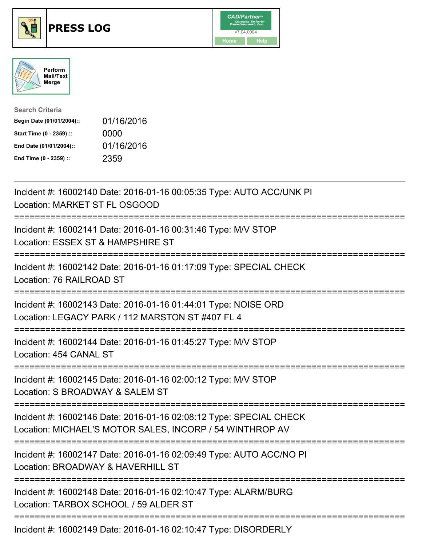





| <b>Search Criteria</b>    |            |
|---------------------------|------------|
| Begin Date (01/01/2004):: | 01/16/2016 |
| Start Time (0 - 2359) ::  | 0000       |
| End Date (01/01/2004)::   | 01/16/2016 |
| End Time (0 - 2359) ::    | 2359       |

| Incident #: 16002140 Date: 2016-01-16 00:05:35 Type: AUTO ACC/UNK PI<br>Location: MARKET ST FL OSGOOD                                                                                                                                                                                                                  |
|------------------------------------------------------------------------------------------------------------------------------------------------------------------------------------------------------------------------------------------------------------------------------------------------------------------------|
| Incident #: 16002141 Date: 2016-01-16 00:31:46 Type: M/V STOP<br>Location: ESSEX ST & HAMPSHIRE ST<br>.-----------------------                                                                                                                                                                                         |
| Incident #: 16002142 Date: 2016-01-16 01:17:09 Type: SPECIAL CHECK<br>Location: 76 RAILROAD ST                                                                                                                                                                                                                         |
| Incident #: 16002143 Date: 2016-01-16 01:44:01 Type: NOISE ORD<br>Location: LEGACY PARK / 112 MARSTON ST #407 FL 4                                                                                                                                                                                                     |
| Incident #: 16002144 Date: 2016-01-16 01:45:27 Type: M/V STOP<br>Location: 454 CANAL ST                                                                                                                                                                                                                                |
| :=================================<br>Incident #: 16002145 Date: 2016-01-16 02:00:12 Type: M/V STOP<br>Location: S BROADWAY & SALEM ST                                                                                                                                                                                 |
| Incident #: 16002146 Date: 2016-01-16 02:08:12 Type: SPECIAL CHECK<br>Location: MICHAEL'S MOTOR SALES, INCORP / 54 WINTHROP AV                                                                                                                                                                                         |
| Incident #: 16002147 Date: 2016-01-16 02:09:49 Type: AUTO ACC/NO PI<br>Location: BROADWAY & HAVERHILL ST                                                                                                                                                                                                               |
| Incident #: 16002148 Date: 2016-01-16 02:10:47 Type: ALARM/BURG<br>Location: TARBOX SCHOOL / 59 ALDER ST                                                                                                                                                                                                               |
| $\frac{1}{2}$ and $\frac{1}{2}$ $\frac{1}{2}$ $\frac{1}{2}$ $\frac{1}{2}$ $\frac{1}{2}$ $\frac{1}{2}$ $\frac{1}{2}$ $\frac{1}{2}$ $\frac{1}{2}$ $\frac{1}{2}$ $\frac{1}{2}$ $\frac{1}{2}$ $\frac{1}{2}$ $\frac{1}{2}$ $\frac{1}{2}$ $\frac{1}{2}$ $\frac{1}{2}$ $\frac{1}{2}$ $\frac{1}{2}$ $\frac{1}{2}$ $\frac{1}{2$ |

Incident #: 16002149 Date: 2016-01-16 02:10:47 Type: DISORDERLY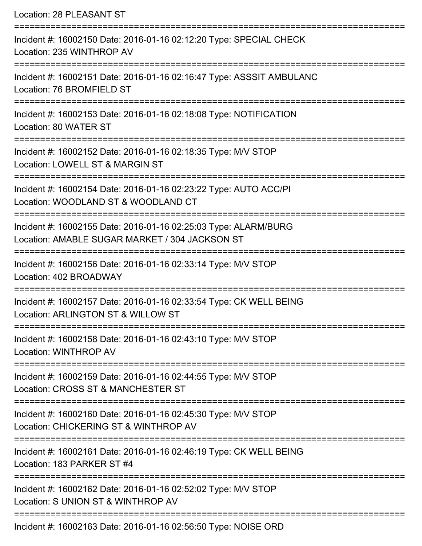| Location: 28 PLEASANT ST                                                                                                      |
|-------------------------------------------------------------------------------------------------------------------------------|
| Incident #: 16002150 Date: 2016-01-16 02:12:20 Type: SPECIAL CHECK<br>Location: 235 WINTHROP AV                               |
| Incident #: 16002151 Date: 2016-01-16 02:16:47 Type: ASSSIT AMBULANC<br>Location: 76 BROMFIELD ST                             |
| Incident #: 16002153 Date: 2016-01-16 02:18:08 Type: NOTIFICATION<br>Location: 80 WATER ST                                    |
| Incident #: 16002152 Date: 2016-01-16 02:18:35 Type: M/V STOP<br>Location: LOWELL ST & MARGIN ST                              |
| Incident #: 16002154 Date: 2016-01-16 02:23:22 Type: AUTO ACC/PI<br>Location: WOODLAND ST & WOODLAND CT<br>================== |
| Incident #: 16002155 Date: 2016-01-16 02:25:03 Type: ALARM/BURG<br>Location: AMABLE SUGAR MARKET / 304 JACKSON ST             |
| Incident #: 16002156 Date: 2016-01-16 02:33:14 Type: M/V STOP<br>Location: 402 BROADWAY                                       |
| Incident #: 16002157 Date: 2016-01-16 02:33:54 Type: CK WELL BEING<br>Location: ARLINGTON ST & WILLOW ST                      |
| Incident #: 16002158 Date: 2016-01-16 02:43:10 Type: M/V STOP<br>Location: WINTHROP AV                                        |
| Incident #: 16002159 Date: 2016-01-16 02:44:55 Type: M/V STOP<br>Location: CROSS ST & MANCHESTER ST                           |
| Incident #: 16002160 Date: 2016-01-16 02:45:30 Type: M/V STOP<br>Location: CHICKERING ST & WINTHROP AV                        |
| Incident #: 16002161 Date: 2016-01-16 02:46:19 Type: CK WELL BEING<br>Location: 183 PARKER ST #4                              |
| Incident #: 16002162 Date: 2016-01-16 02:52:02 Type: M/V STOP<br>Location: S UNION ST & WINTHROP AV                           |
| Incident #: 16002163 Date: 2016-01-16 02:56:50 Type: NOISE ORD                                                                |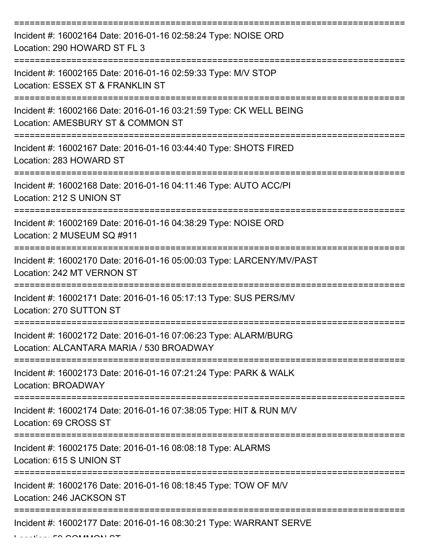| Incident #: 16002164 Date: 2016-01-16 02:58:24 Type: NOISE ORD<br>Location: 290 HOWARD ST FL 3              |
|-------------------------------------------------------------------------------------------------------------|
| Incident #: 16002165 Date: 2016-01-16 02:59:33 Type: M/V STOP<br>Location: ESSEX ST & FRANKLIN ST           |
| Incident #: 16002166 Date: 2016-01-16 03:21:59 Type: CK WELL BEING<br>Location: AMESBURY ST & COMMON ST     |
| Incident #: 16002167 Date: 2016-01-16 03:44:40 Type: SHOTS FIRED<br>Location: 283 HOWARD ST                 |
| Incident #: 16002168 Date: 2016-01-16 04:11:46 Type: AUTO ACC/PI<br>Location: 212 S UNION ST                |
| Incident #: 16002169 Date: 2016-01-16 04:38:29 Type: NOISE ORD<br>Location: 2 MUSEUM SQ #911                |
| Incident #: 16002170 Date: 2016-01-16 05:00:03 Type: LARCENY/MV/PAST<br>Location: 242 MT VERNON ST          |
| Incident #: 16002171 Date: 2016-01-16 05:17:13 Type: SUS PERS/MV<br>Location: 270 SUTTON ST                 |
| Incident #: 16002172 Date: 2016-01-16 07:06:23 Type: ALARM/BURG<br>Location: ALCANTARA MARIA / 530 BROADWAY |
| Incident #: 16002173 Date: 2016-01-16 07:21:24 Type: PARK & WALK<br>Location: BROADWAY                      |
| Incident #: 16002174 Date: 2016-01-16 07:38:05 Type: HIT & RUN M/V<br>Location: 69 CROSS ST                 |
| Incident #: 16002175 Date: 2016-01-16 08:08:18 Type: ALARMS<br>Location: 615 S UNION ST                     |
| Incident #: 16002176 Date: 2016-01-16 08:18:45 Type: TOW OF M/V<br>Location: 246 JACKSON ST                 |
| Incident #: 16002177 Date: 2016-01-16 08:30:21 Type: WARRANT SERVE                                          |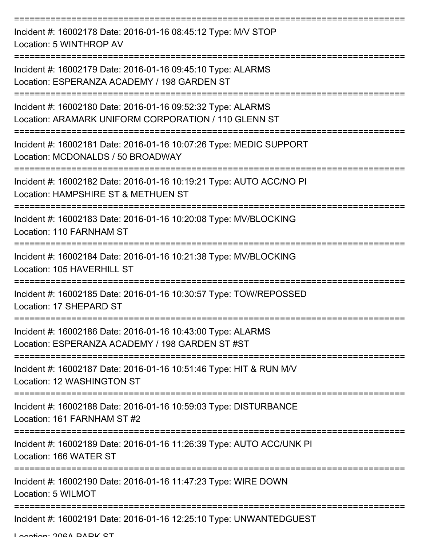| Incident #: 16002178 Date: 2016-01-16 08:45:12 Type: M/V STOP<br>Location: 5 WINTHROP AV                            |
|---------------------------------------------------------------------------------------------------------------------|
| Incident #: 16002179 Date: 2016-01-16 09:45:10 Type: ALARMS<br>Location: ESPERANZA ACADEMY / 198 GARDEN ST          |
| Incident #: 16002180 Date: 2016-01-16 09:52:32 Type: ALARMS<br>Location: ARAMARK UNIFORM CORPORATION / 110 GLENN ST |
| Incident #: 16002181 Date: 2016-01-16 10:07:26 Type: MEDIC SUPPORT<br>Location: MCDONALDS / 50 BROADWAY             |
| Incident #: 16002182 Date: 2016-01-16 10:19:21 Type: AUTO ACC/NO PI<br>Location: HAMPSHIRE ST & METHUEN ST          |
| Incident #: 16002183 Date: 2016-01-16 10:20:08 Type: MV/BLOCKING<br>Location: 110 FARNHAM ST                        |
| Incident #: 16002184 Date: 2016-01-16 10:21:38 Type: MV/BLOCKING<br>Location: 105 HAVERHILL ST                      |
| Incident #: 16002185 Date: 2016-01-16 10:30:57 Type: TOW/REPOSSED<br>Location: 17 SHEPARD ST                        |
| Incident #: 16002186 Date: 2016-01-16 10:43:00 Type: ALARMS<br>Location: ESPERANZA ACADEMY / 198 GARDEN ST #ST      |
| Incident #: 16002187 Date: 2016-01-16 10:51:46 Type: HIT & RUN M/V<br>Location: 12 WASHINGTON ST                    |
| Incident #: 16002188 Date: 2016-01-16 10:59:03 Type: DISTURBANCE<br>Location: 161 FARNHAM ST #2                     |
| Incident #: 16002189 Date: 2016-01-16 11:26:39 Type: AUTO ACC/UNK PI<br>Location: 166 WATER ST                      |
| Incident #: 16002190 Date: 2016-01-16 11:47:23 Type: WIRE DOWN<br>Location: 5 WILMOT                                |
| Incident #: 16002191 Date: 2016-01-16 12:25:10 Type: UNWANTEDGUEST                                                  |

Location: 206A DADK CT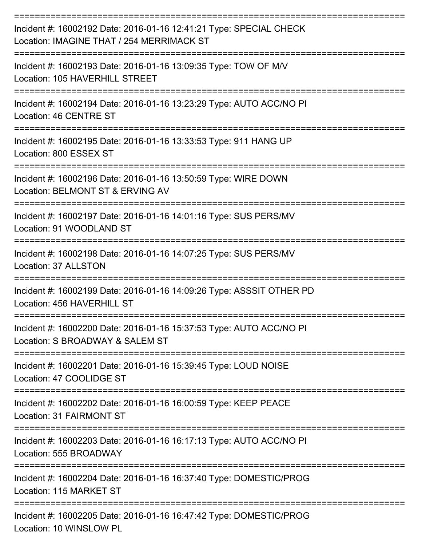| Incident #: 16002192 Date: 2016-01-16 12:41:21 Type: SPECIAL CHECK<br>Location: IMAGINE THAT / 254 MERRIMACK ST |
|-----------------------------------------------------------------------------------------------------------------|
| Incident #: 16002193 Date: 2016-01-16 13:09:35 Type: TOW OF M/V<br>Location: 105 HAVERHILL STREET               |
| Incident #: 16002194 Date: 2016-01-16 13:23:29 Type: AUTO ACC/NO PI<br>Location: 46 CENTRE ST                   |
| Incident #: 16002195 Date: 2016-01-16 13:33:53 Type: 911 HANG UP<br>Location: 800 ESSEX ST                      |
| Incident #: 16002196 Date: 2016-01-16 13:50:59 Type: WIRE DOWN<br>Location: BELMONT ST & ERVING AV              |
| Incident #: 16002197 Date: 2016-01-16 14:01:16 Type: SUS PERS/MV<br>Location: 91 WOODLAND ST                    |
| Incident #: 16002198 Date: 2016-01-16 14:07:25 Type: SUS PERS/MV<br>Location: 37 ALLSTON                        |
| Incident #: 16002199 Date: 2016-01-16 14:09:26 Type: ASSSIT OTHER PD<br>Location: 456 HAVERHILL ST              |
| Incident #: 16002200 Date: 2016-01-16 15:37:53 Type: AUTO ACC/NO PI<br>Location: S BROADWAY & SALEM ST          |
| Incident #: 16002201 Date: 2016-01-16 15:39:45 Type: LOUD NOISE<br>Location: 47 COOLIDGE ST                     |
| Incident #: 16002202 Date: 2016-01-16 16:00:59 Type: KEEP PEACE<br>Location: 31 FAIRMONT ST                     |
| Incident #: 16002203 Date: 2016-01-16 16:17:13 Type: AUTO ACC/NO PI<br>Location: 555 BROADWAY                   |
| Incident #: 16002204 Date: 2016-01-16 16:37:40 Type: DOMESTIC/PROG<br>Location: 115 MARKET ST                   |
| Incident #: 16002205 Date: 2016-01-16 16:47:42 Type: DOMESTIC/PROG<br>Location: 10 WINSLOW PL                   |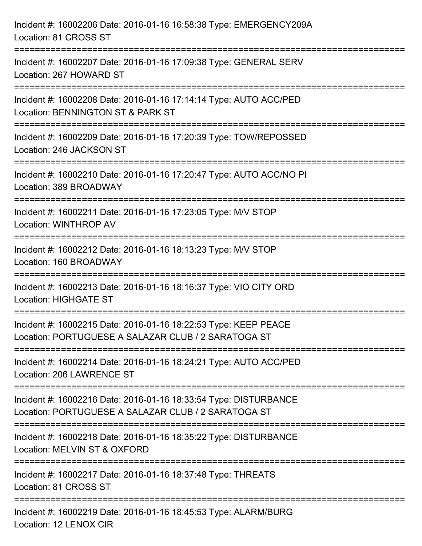| Incident #: 16002206 Date: 2016-01-16 16:58:38 Type: EMERGENCY209A<br>Location: 81 CROSS ST                                    |
|--------------------------------------------------------------------------------------------------------------------------------|
| Incident #: 16002207 Date: 2016-01-16 17:09:38 Type: GENERAL SERV<br>Location: 267 HOWARD ST                                   |
| Incident #: 16002208 Date: 2016-01-16 17:14:14 Type: AUTO ACC/PED<br>Location: BENNINGTON ST & PARK ST<br>==================== |
| Incident #: 16002209 Date: 2016-01-16 17:20:39 Type: TOW/REPOSSED<br>Location: 246 JACKSON ST                                  |
| Incident #: 16002210 Date: 2016-01-16 17:20:47 Type: AUTO ACC/NO PI<br>Location: 389 BROADWAY                                  |
| Incident #: 16002211 Date: 2016-01-16 17:23:05 Type: M/V STOP<br>Location: WINTHROP AV                                         |
| Incident #: 16002212 Date: 2016-01-16 18:13:23 Type: M/V STOP<br>Location: 160 BROADWAY                                        |
| Incident #: 16002213 Date: 2016-01-16 18:16:37 Type: VIO CITY ORD<br><b>Location: HIGHGATE ST</b>                              |
| Incident #: 16002215 Date: 2016-01-16 18:22:53 Type: KEEP PEACE<br>Location: PORTUGUESE A SALAZAR CLUB / 2 SARATOGA ST         |
| Incident #: 16002214 Date: 2016-01-16 18:24:21 Type: AUTO ACC/PED<br>Location: 206 LAWRENCE ST                                 |
| Incident #: 16002216 Date: 2016-01-16 18:33:54 Type: DISTURBANCE<br>Location: PORTUGUESE A SALAZAR CLUB / 2 SARATOGA ST        |
| Incident #: 16002218 Date: 2016-01-16 18:35:22 Type: DISTURBANCE<br>Location: MELVIN ST & OXFORD                               |
| Incident #: 16002217 Date: 2016-01-16 18:37:48 Type: THREATS<br>Location: 81 CROSS ST                                          |
| Incident #: 16002219 Date: 2016-01-16 18:45:53 Type: ALARM/BURG<br>Location: 12 LENOX CIR                                      |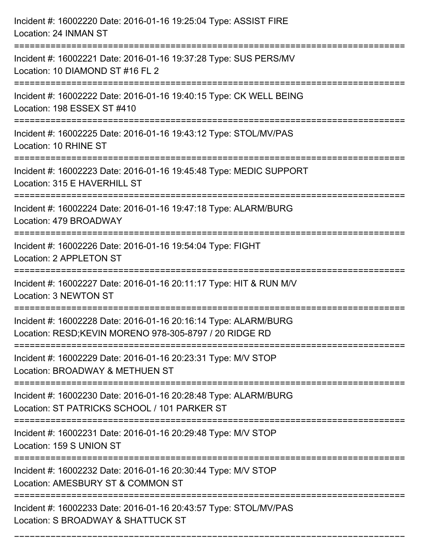| Incident #: 16002220 Date: 2016-01-16 19:25:04 Type: ASSIST FIRE<br>Location: 24 INMAN ST                                                       |
|-------------------------------------------------------------------------------------------------------------------------------------------------|
| Incident #: 16002221 Date: 2016-01-16 19:37:28 Type: SUS PERS/MV<br>Location: 10 DIAMOND ST #16 FL 2                                            |
| Incident #: 16002222 Date: 2016-01-16 19:40:15 Type: CK WELL BEING<br>Location: 198 ESSEX ST #410<br>======================                     |
| Incident #: 16002225 Date: 2016-01-16 19:43:12 Type: STOL/MV/PAS<br>Location: 10 RHINE ST                                                       |
| Incident #: 16002223 Date: 2016-01-16 19:45:48 Type: MEDIC SUPPORT<br>Location: 315 E HAVERHILL ST                                              |
| Incident #: 16002224 Date: 2016-01-16 19:47:18 Type: ALARM/BURG<br>Location: 479 BROADWAY                                                       |
| Incident #: 16002226 Date: 2016-01-16 19:54:04 Type: FIGHT<br>Location: 2 APPLETON ST                                                           |
| Incident #: 16002227 Date: 2016-01-16 20:11:17 Type: HIT & RUN M/V<br>Location: 3 NEWTON ST                                                     |
| Incident #: 16002228 Date: 2016-01-16 20:16:14 Type: ALARM/BURG<br>Location: RESD;KEVIN MORENO 978-305-8797 / 20 RIDGE RD                       |
| Incident #: 16002229 Date: 2016-01-16 20:23:31 Type: M/V STOP<br>Location: BROADWAY & METHUEN ST                                                |
| Incident #: 16002230 Date: 2016-01-16 20:28:48 Type: ALARM/BURG<br>Location: ST PATRICKS SCHOOL / 101 PARKER ST<br>---------------------------- |
| Incident #: 16002231 Date: 2016-01-16 20:29:48 Type: M/V STOP<br>Location: 159 S UNION ST                                                       |
| Incident #: 16002232 Date: 2016-01-16 20:30:44 Type: M/V STOP<br>Location: AMESBURY ST & COMMON ST                                              |
| Incident #: 16002233 Date: 2016-01-16 20:43:57 Type: STOL/MV/PAS<br>Location: S BROADWAY & SHATTUCK ST                                          |

===========================================================================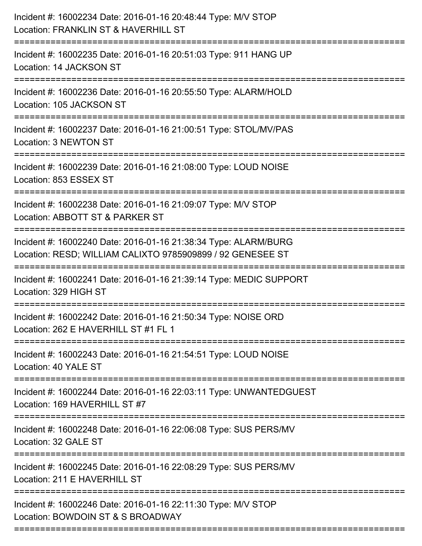| Incident #: 16002234 Date: 2016-01-16 20:48:44 Type: M/V STOP<br>Location: FRANKLIN ST & HAVERHILL ST<br>======================== |
|-----------------------------------------------------------------------------------------------------------------------------------|
| Incident #: 16002235 Date: 2016-01-16 20:51:03 Type: 911 HANG UP<br>Location: 14 JACKSON ST                                       |
| Incident #: 16002236 Date: 2016-01-16 20:55:50 Type: ALARM/HOLD<br>Location: 105 JACKSON ST<br>:================================  |
| Incident #: 16002237 Date: 2016-01-16 21:00:51 Type: STOL/MV/PAS<br>Location: 3 NEWTON ST                                         |
| Incident #: 16002239 Date: 2016-01-16 21:08:00 Type: LOUD NOISE<br>Location: 853 ESSEX ST                                         |
| Incident #: 16002238 Date: 2016-01-16 21:09:07 Type: M/V STOP<br>Location: ABBOTT ST & PARKER ST<br>:=======================      |
| Incident #: 16002240 Date: 2016-01-16 21:38:34 Type: ALARM/BURG<br>Location: RESD; WILLIAM CALIXTO 9785909899 / 92 GENESEE ST     |
| Incident #: 16002241 Date: 2016-01-16 21:39:14 Type: MEDIC SUPPORT<br>Location: 329 HIGH ST                                       |
| Incident #: 16002242 Date: 2016-01-16 21:50:34 Type: NOISE ORD<br>Location: 262 E HAVERHILL ST #1 FL 1                            |
| Incident #: 16002243 Date: 2016-01-16 21:54:51 Type: LOUD NOISE<br>Location: 40 YALE ST                                           |
| Incident #: 16002244 Date: 2016-01-16 22:03:11 Type: UNWANTEDGUEST<br>Location: 169 HAVERHILL ST #7                               |
| Incident #: 16002248 Date: 2016-01-16 22:06:08 Type: SUS PERS/MV<br>Location: 32 GALE ST                                          |
| Incident #: 16002245 Date: 2016-01-16 22:08:29 Type: SUS PERS/MV<br>Location: 211 E HAVERHILL ST                                  |
| Incident #: 16002246 Date: 2016-01-16 22:11:30 Type: M/V STOP<br>Location: BOWDOIN ST & S BROADWAY                                |